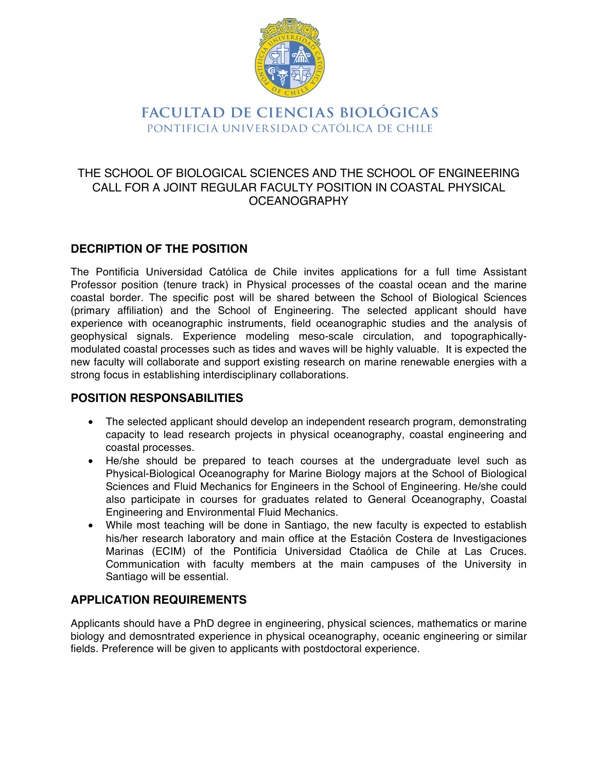

# **FACULTAD DE CIENCIAS BIOLÓGICAS** PONTIFICIA UNIVERSIDAD CATÓLICA DE CHILE

## THE SCHOOL OF BIOLOGICAL SCIENCES AND THE SCHOOL OF ENGINEERING CALL FOR A JOINT REGULAR FACULTY POSITION IN COASTAL PHYSICAL OCEANOGRAPHY

# **DECRIPTION OF THE POSITION**

The Pontificia Universidad Católica de Chile invites applications for a full time Assistant Professor position (tenure track) in Physical processes of the coastal ocean and the marine coastal border. The specific post will be shared between the School of Biological Sciences (primary affiliation) and the School of Engineering. The selected applicant should have experience with oceanographic instruments, field oceanographic studies and the analysis of geophysical signals. Experience modeling meso-scale circulation, and topographicallymodulated coastal processes such as tides and waves will be highly valuable. It is expected the new faculty will collaborate and support existing research on marine renewable energies with a strong focus in establishing interdisciplinary collaborations.

### **POSITION RESPONSABILITIES**

- The selected applicant should develop an independent research program, demonstrating capacity to lead research projects in physical oceanography, coastal engineering and coastal processes.
- He/she should be prepared to teach courses at the undergraduate level such as Physical-Biological Oceanography for Marine Biology majors at the School of Biological Sciences and Fluid Mechanics for Engineers in the School of Engineering. He/she could also participate in courses for graduates related to General Oceanography, Coastal Engineering and Environmental Fluid Mechanics.
- While most teaching will be done in Santiago, the new faculty is expected to establish his/her research laboratory and main office at the Estación Costera de Investigaciones Marinas (ECIM) of the Pontificia Universidad Ctaólica de Chile at Las Cruces. Communication with faculty members at the main campuses of the University in Santiago will be essential.

# **APPLICATION REQUIREMENTS**

Applicants should have a PhD degree in engineering, physical sciences, mathematics or marine biology and demosntrated experience in physical oceanography, oceanic engineering or similar fields. Preference will be given to applicants with postdoctoral experience.